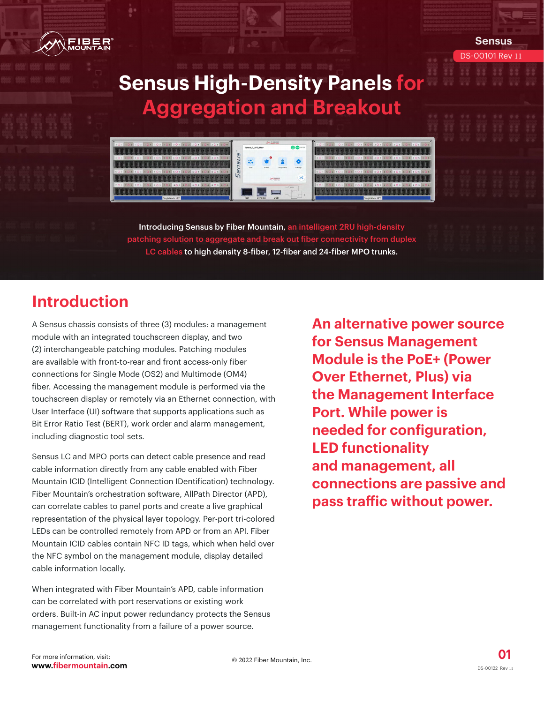

patching solution to aggregate and break out fiber connectivity from duplex LC cables to high density 8-fiber, 12-fiber and 24-fiber MPO trunks.

# **Introduction**

A Sensus chassis consists of three (3) modules: a management module with an integrated touchscreen display, and two (2) interchangeable patching modules. Patching modules are available with front-to-rear and front access-only fiber connections for Single Mode (OS2) and Multimode (OM4) fiber. Accessing the management module is performed via the touchscreen display or remotely via an Ethernet connection, with User Interface (UI) software that supports applications such as Bit Error Ratio Test (BERT), work order and alarm management, including diagnostic tool sets.

Sensus LC and MPO ports can detect cable presence and read cable information directly from any cable enabled with Fiber Mountain ICID (Intelligent Connection IDentification) technology. Fiber Mountain's orchestration software, AllPath Director (APD), can correlate cables to panel ports and create a live graphical representation of the physical layer topology. Per-port tri-colored LEDs can be controlled remotely from APD or from an API. Fiber Mountain ICID cables contain NFC ID tags, which when held over the NFC symbol on the management module, display detailed cable information locally.

When integrated with Fiber Mountain's APD, cable information can be correlated with port reservations or existing work orders. Built-in AC input power redundancy protects the Sensus management functionality from a failure of a power source.

**An alternative power source for Sensus Management Module is the PoE+ (Power Over Ethernet, Plus) via the Management Interface Port. While power is needed for configuration, LED functionality and management, all connections are passive and pass traffic without power.**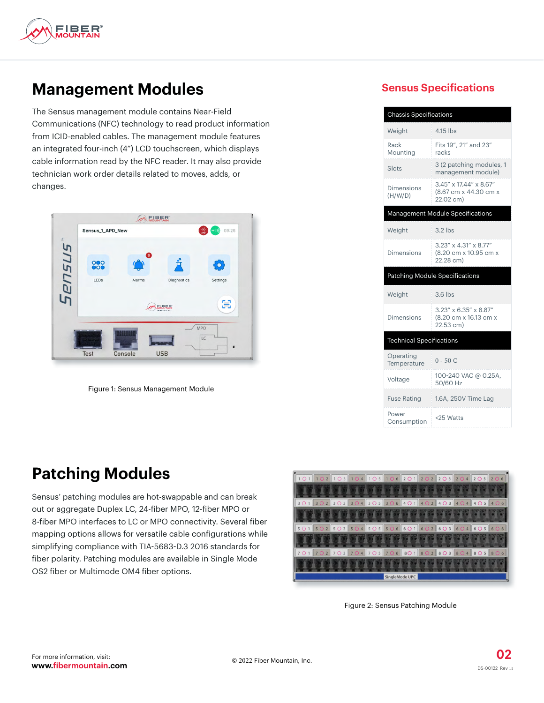

#### **Management Modules**

The Sensus management module contains Near-Field Communications (NFC) technology to read product information from ICID-enabled cables. The management module features an integrated four-inch (4") LCD touchscreen, which displays cable information read by the NFC reader. It may also provide technician work order details related to moves, adds, or changes.



Figure 1: Sensus Management Module

#### **Sensus Specifications**

| <b>Chassis Specifications</b>   |                                                                            |  |  |
|---------------------------------|----------------------------------------------------------------------------|--|--|
| Weight                          | $4.15$ lbs                                                                 |  |  |
| Rack<br>Mounting                | Fits 19", 21" and 23"<br>racks                                             |  |  |
| Slots                           | 3 (2 patching modules, 1<br>management module)                             |  |  |
| Dimensions<br>(H/W/D)           | 3.45" x 17.44" x 8.67"<br>(8.67 cm x 44.30 cm x<br>22.02 cm)               |  |  |
|                                 | Management Module Specifications                                           |  |  |
| Weight                          | $3.2$ lbs                                                                  |  |  |
| Dimensions                      | $3.23'' \times 4.31'' \times 8.77''$<br>(8.20 cm x 10.95 cm x<br>22.28 cm) |  |  |
|                                 |                                                                            |  |  |
|                                 | <b>Patching Module Specifications</b>                                      |  |  |
| Weight                          | $3.6$ lbs                                                                  |  |  |
| Dimensions                      | 3.23" x 6.35" x 8.87"<br>(8.20 cm x 16.13 cm x<br>22.53 cm)                |  |  |
| <b>Technical Specifications</b> |                                                                            |  |  |
| Operating<br>Temperature        | $0 - 50C$                                                                  |  |  |
| Voltage                         | 100-240 VAC @ 0.25A.<br>50/60 Hz                                           |  |  |
| <b>Fuse Rating</b>              | 1.6A, 250V Time Lag                                                        |  |  |

#### **Patching Modules**

Sensus' patching modules are hot-swappable and can break out or aggregate Duplex LC, 24-fiber MPO, 12-fiber MPO or 8-fiber MPO interfaces to LC or MPO connectivity. Several fiber mapping options allows for versatile cable configurations while simplifying compliance with TIA-5683-D.3 2016 standards for fiber polarity. Patching modules are available in Single Mode OS2 fiber or Multimode OM4 fiber options.



Figure 2: Sensus Patching Module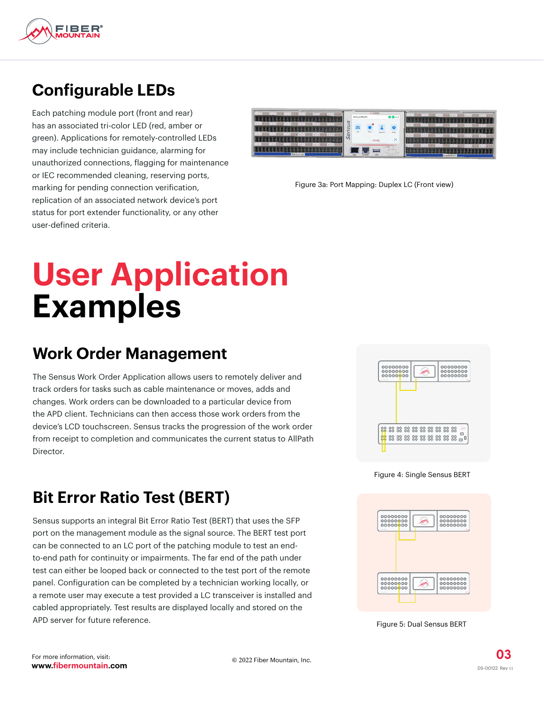

## **Configurable LEDs**

Each patching module port (front and rear) has an associated tri-color LED (red, amber or green). Applications for remotely-controlled LEDs may include technician guidance, alarming for unauthorized connections, flagging for maintenance or IEC recommended cleaning, reserving ports, marking for pending connection verification, replication of an associated network device's port status for port extender functionality, or any other user-defined criteria.



Figure 3a: Port Mapping: Duplex LC (Front view)

# **User Application Examples**

#### **Work Order Management**

The Sensus Work Order Application allows users to remotely deliver and track orders for tasks such as cable maintenance or moves, adds and changes. Work orders can be downloaded to a particular device from the APD client. Technicians can then access those work orders from the device's LCD touchscreen. Sensus tracks the progression of the work order from receipt to completion and communicates the current status to AllPath Director.



Figure 4: Single Sensus BERT



Figure 5: Dual Sensus BERT

## **Bit Error Ratio Test (BERT)**

Sensus supports an integral Bit Error Ratio Test (BERT) that uses the SFP port on the management module as the signal source. The BERT test port can be connected to an LC port of the patching module to test an endto-end path for continuity or impairments. The far end of the path under test can either be looped back or connected to the test port of the remote panel. Configuration can be completed by a technician working locally, or a remote user may execute a test provided a LC transceiver is installed and cabled appropriately. Test results are displayed locally and stored on the APD server for future reference.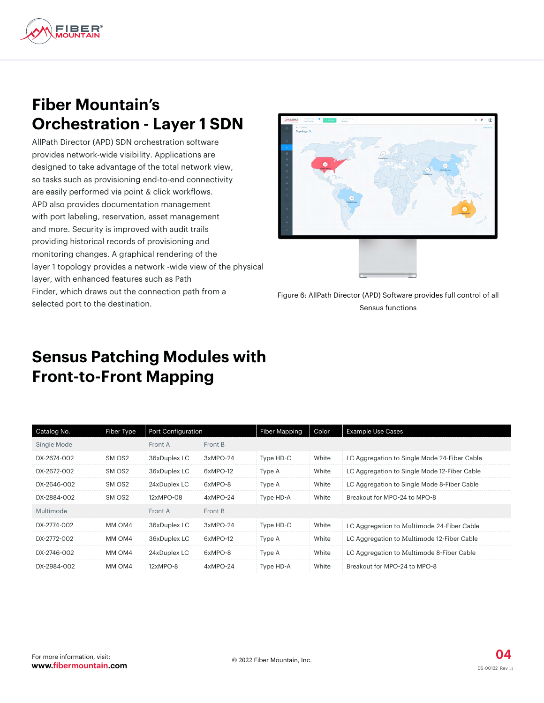

#### **Fiber Mountain's Orchestration - Layer 1 SDN**

AllPath Director (APD) SDN orchestration software provides network-wide visibility. Applications are designed to take advantage of the total network view, so tasks such as provisioning end-to-end connectivity are easily performed via point & click workflows. APD also provides documentation management with port labeling, reservation, asset management and more. Security is improved with audit trails providing historical records of provisioning and monitoring changes. A graphical rendering of the layer 1 topology provides a network -wide view of the physical layer, with enhanced features such as Path Finder, which draws out the connection path from a selected port to the destination.



Figure 6: AllPath Director (APD) Software provides full control of all Sensus functions

#### **Sensus Patching Modules with Front-to-Front Mapping**

| Catalog No. | Fiber Type         | Port Configuration |            | <b>Fiber Mapping</b> | Color | <b>Example Use Cases</b>                     |
|-------------|--------------------|--------------------|------------|----------------------|-------|----------------------------------------------|
| Single Mode |                    | Front A            | Front B    |                      |       |                                              |
| DX-2674-002 | SM OS <sub>2</sub> | 36xDuplex LC       | $3xMPO-24$ | Type HD-C            | White | LC Aggregation to Single Mode 24-Fiber Cable |
| DX-2672-002 | SM OS <sub>2</sub> | 36xDuplex LC       | 6xMPO-12   | Type A               | White | LC Aggregation to Single Mode 12-Fiber Cable |
| DX-2646-002 | SM OS <sub>2</sub> | 24xDuplex LC       | 6xMPO-8    | Type A               | White | LC Aggregation to Single Mode 8-Fiber Cable  |
| DX-2884-002 | SM OS <sub>2</sub> | 12xMPO-08          | $4xMPO-24$ | Type HD-A            | White | Breakout for MPO-24 to MPO-8                 |
| Multimode   |                    | Front A            | Front B    |                      |       |                                              |
| DX-2774-002 | MM OM4             | 36xDuplex LC       | 3xMPO-24   | Type HD-C            | White | LC Aggregation to Multimode 24-Fiber Cable   |
| DX-2772-002 | MM OM4             | 36xDuplex LC       | 6xMPO-12   | Type A               | White | LC Aggregation to Multimode 12-Fiber Cable   |
| DX-2746-002 | MM OM4             | 24xDuplex LC       | 6xMPO-8    | Type A               | White | LC Aggregation to Multimode 8-Fiber Cable    |
| DX-2984-002 | MM OM4             | $12xMPO-8$         | $4xMPO-24$ | Type HD-A            | White | Breakout for MPO-24 to MPO-8                 |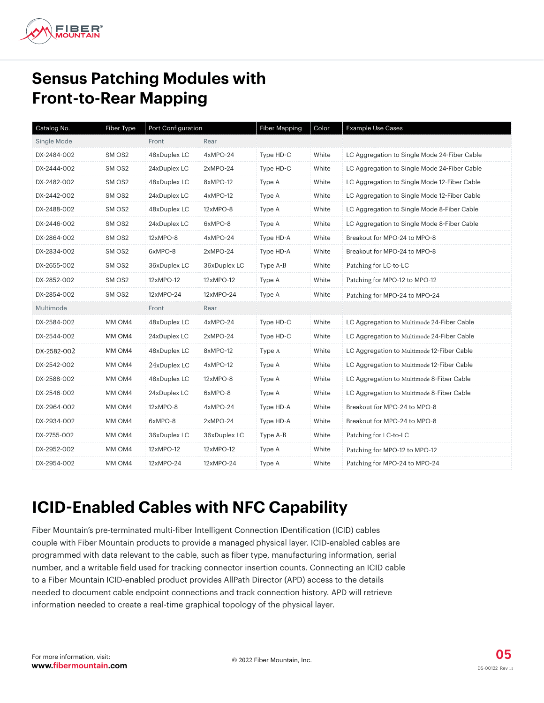

### **Sensus Patching Modules with Front-to-Rear Mapping**

| Catalog No. | Fiber Type | Port Configuration |              | Fiber Mapping | Color | Example Use Cases                            |
|-------------|------------|--------------------|--------------|---------------|-------|----------------------------------------------|
| Single Mode |            | Front              | Rear         |               |       |                                              |
| DX-2484-002 | SM OS2     | 48xDuplex LC       | 4xMPO-24     | Type HD-C     | White | LC Aggregation to Single Mode 24-Fiber Cable |
| DX-2444-002 | SM OS2     | 24xDuplex LC       | 2xMPO-24     | Type HD-C     | White | LC Aggregation to Single Mode 24-Fiber Cable |
| DX-2482-002 | SM OS2     | 48xDuplex LC       | 8xMPO-12     | Type A        | White | LC Aggregation to Single Mode 12-Fiber Cable |
| DX-2442-002 | SM OS2     | 24xDuplex LC       | 4xMPO-12     | Type A        | White | LC Aggregation to Single Mode 12-Fiber Cable |
| DX-2488-002 | SM OS2     | 48xDuplex LC       | 12xMPO-8     | Type A        | White | LC Aggregation to Single Mode 8-Fiber Cable  |
| DX-2446-002 | SM OS2     | 24xDuplex LC       | 6xMPO-8      | Type A        | White | LC Aggregation to Single Mode 8-Fiber Cable  |
| DX-2864-002 | SM OS2     | 12xMPO-8           | 4xMPO-24     | Type HD-A     | White | Breakout for MPO-24 to MPO-8                 |
| DX-2834-002 | SM OS2     | 6xMPO-8            | 2xMPO-24     | Type HD-A     | White | Breakout for MPO-24 to MPO-8                 |
| DX-2655-002 | SM OS2     | 36xDuplex LC       | 36xDuplex LC | Type A-B      | White | Patching for LC-to-LC                        |
| DX-2852-002 | SM OS2     | 12xMPO-12          | 12xMPO-12    | Type A        | White | Patching for MPO-12 to MPO-12                |
| DX-2854-002 | SM OS2     | 12xMPO-24          | 12xMPO-24    | Type A        | White | Patching for MPO-24 to MPO-24                |
| Multimode   |            | Front              | Rear         |               |       |                                              |
| DX-2584-002 | MM OM4     | 48xDuplex LC       | 4xMPO-24     | Type HD-C     | White | LC Aggregation to Multimode 24-Fiber Cable   |
| DX-2544-002 | MM OM4     | 24xDuplex LC       | $2xMPO-24$   | Type HD-C     | White | LC Aggregation to Multimode 24-Fiber Cable   |
| DX-2582-002 | MM OM4     | 48xDuplex LC       | 8xMPO-12     | Type A        | White | LC Aggregation to Multimode 12-Fiber Cable   |
| DX-2542-002 | MM OM4     | 24xDuplex LC       | 4xMPO-12     | Type A        | White | LC Aggregation to Multimode 12-Fiber Cable   |
| DX-2588-002 | MM OM4     | 48xDuplex LC       | 12xMPO-8     | Type A        | White | LC Aggregation to Multimode 8-Fiber Cable    |
| DX-2546-002 | MM OM4     | 24xDuplex LC       | 6xMPO-8      | Type A        | White | LC Aggregation to Multimode 8-Fiber Cable    |
| DX-2964-002 | MM OM4     | 12xMPO-8           | 4xMPO-24     | Type HD-A     | White | Breakout for MPO-24 to MPO-8                 |
| DX-2934-002 | MM OM4     | 6xMPO-8            | 2xMPO-24     | Type HD-A     | White | Breakout for MPO-24 to MPO-8                 |
| DX-2755-002 | MM OM4     | 36xDuplex LC       | 36xDuplex LC | Type A-B      | White | Patching for LC-to-LC                        |
| DX-2952-002 | MM OM4     | 12xMPO-12          | 12xMPO-12    | Type A        | White | Patching for MPO-12 to MPO-12                |
| DX-2954-002 | MM OM4     | 12xMPO-24          | 12xMPO-24    | Type A        | White | Patching for MPO-24 to MPO-24                |

#### **ICID-Enabled Cables with NFC Capability**

Fiber Mountain's pre-terminated multi-fiber Intelligent Connection IDentification (ICID) cables couple with Fiber Mountain products to provide a managed physical layer. ICID-enabled cables are programmed with data relevant to the cable, such as fiber type, manufacturing information, serial number, and a writable field used for tracking connector insertion counts. Connecting an ICID cable to a Fiber Mountain ICID-enabled product provides AllPath Director (APD) access to the details needed to document cable endpoint connections and track connection history. APD will retrieve information needed to create a real-time graphical topology of the physical layer.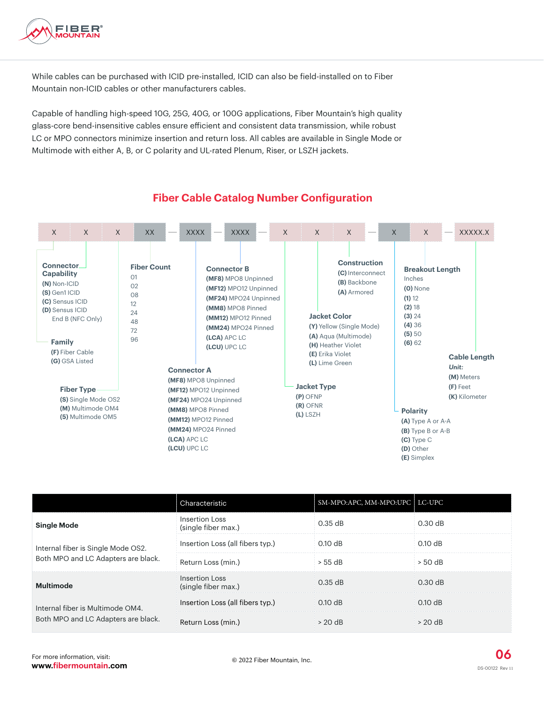

While cables can be purchased with ICID pre-installed, ICID can also be field-installed on to Fiber Mountain non-ICID cables or other manufacturers cables.

Capable of handling high-speed 10G, 25G, 40G, or 100G applications, Fiber Mountain's high quality glass-core bend-insensitive cables ensure efficient and consistent data transmission, while robust LC or MPO connectors minimize insertion and return loss. All cables are available in Single Mode or Multimode with either A, B, or C polarity and UL-rated Plenum, Riser, or LSZH jackets.



#### **Fiber Cable Catalog Number Configuration**

|                                                                           | Characteristic                        | SM-MPO:APC, MM-MPO:UPC   LC-UPC |                   |
|---------------------------------------------------------------------------|---------------------------------------|---------------------------------|-------------------|
| <b>Single Mode</b>                                                        | Insertion Loss<br>(single fiber max.) | $0.35$ dB                       | $0.30$ dB         |
| Internal fiber is Single Mode OS2.<br>Both MPO and LC Adapters are black. | Insertion Loss (all fibers typ.)      | $0.10 \text{ dB}$               | $0.10$ dB         |
|                                                                           | Return Loss (min.)                    | $> 55$ dB                       | > 50 dB           |
| <b>Multimode</b>                                                          | Insertion Loss<br>(single fiber max.) | $0.35$ dB                       | $0.30$ dB         |
| Internal fiber is Multimode OM4.<br>Both MPO and LC Adapters are black.   | Insertion Loss (all fibers typ.)      | $0.10$ dB                       | $0.10$ dB         |
|                                                                           | Return Loss (min.)                    | $> 20$ dB                       | $> 20 \text{ dB}$ |